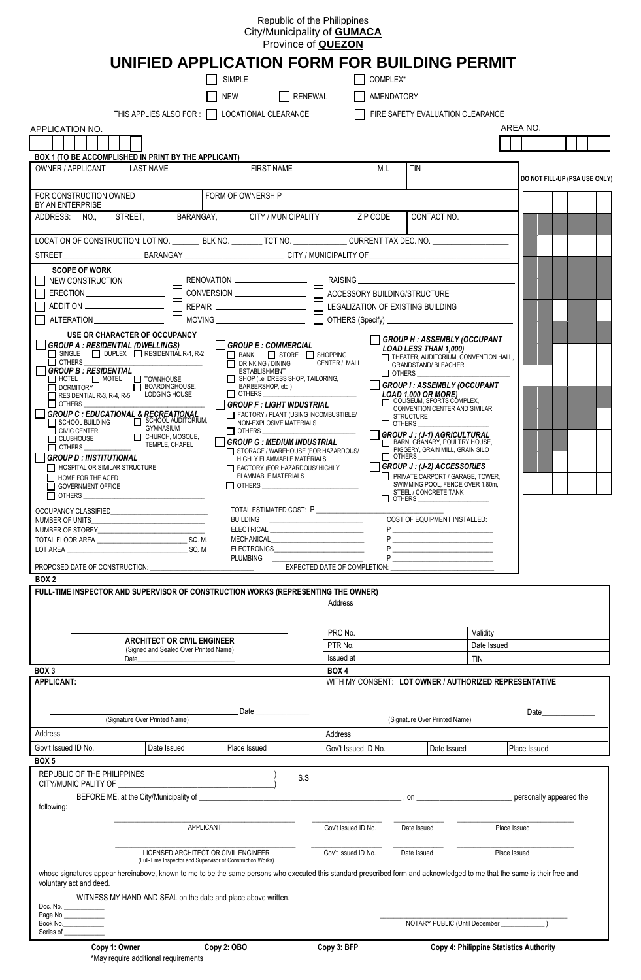## Republic of the Philippines City/Municipality of **GUMACA** Province of **QUEZON**

|                                                                                                                                                                                                          | UNIFIED APPLICATION FORM FOR BUILDING PERMIT                                                                                                                                                                                                                 |                                      |                                                                                                                                                                                                                                                                                                                                                                                                                                                                                             |         |                     |                                               |                                                                                                                                                                                                                                                                                                                                                                                                                                                    |              |                         |                               |
|----------------------------------------------------------------------------------------------------------------------------------------------------------------------------------------------------------|--------------------------------------------------------------------------------------------------------------------------------------------------------------------------------------------------------------------------------------------------------------|--------------------------------------|---------------------------------------------------------------------------------------------------------------------------------------------------------------------------------------------------------------------------------------------------------------------------------------------------------------------------------------------------------------------------------------------------------------------------------------------------------------------------------------------|---------|---------------------|-----------------------------------------------|----------------------------------------------------------------------------------------------------------------------------------------------------------------------------------------------------------------------------------------------------------------------------------------------------------------------------------------------------------------------------------------------------------------------------------------------------|--------------|-------------------------|-------------------------------|
|                                                                                                                                                                                                          |                                                                                                                                                                                                                                                              | <b>SIMPLE</b>                        |                                                                                                                                                                                                                                                                                                                                                                                                                                                                                             |         |                     | COMPLEX*                                      |                                                                                                                                                                                                                                                                                                                                                                                                                                                    |              |                         |                               |
|                                                                                                                                                                                                          |                                                                                                                                                                                                                                                              | <b>NEW</b>                           |                                                                                                                                                                                                                                                                                                                                                                                                                                                                                             | RENEWAL |                     | AMENDATORY                                    |                                                                                                                                                                                                                                                                                                                                                                                                                                                    |              |                         |                               |
|                                                                                                                                                                                                          | THIS APPLIES ALSO FOR :                                                                                                                                                                                                                                      |                                      | LOCATIONAL CLEARANCE                                                                                                                                                                                                                                                                                                                                                                                                                                                                        |         |                     |                                               | FIRE SAFETY EVALUATION CLEARANCE                                                                                                                                                                                                                                                                                                                                                                                                                   |              |                         |                               |
| APPLICATION NO.<br>BOX 1 (TO BE ACCOMPLISHED IN PRINT BY THE APPLICANT)<br><b>OWNER / APPLICANT</b>                                                                                                      | <b>LAST NAME</b>                                                                                                                                                                                                                                             |                                      | <b>FIRST NAME</b>                                                                                                                                                                                                                                                                                                                                                                                                                                                                           |         |                     | M.I.                                          | <b>TIN</b>                                                                                                                                                                                                                                                                                                                                                                                                                                         |              | AREA NO.                |                               |
|                                                                                                                                                                                                          |                                                                                                                                                                                                                                                              |                                      |                                                                                                                                                                                                                                                                                                                                                                                                                                                                                             |         |                     |                                               |                                                                                                                                                                                                                                                                                                                                                                                                                                                    |              |                         | DO NOT FILL-UP (PSA USE ONLY) |
| FOR CONSTRUCTION OWNED<br>BY AN ENTERPRISE                                                                                                                                                               |                                                                                                                                                                                                                                                              |                                      | FORM OF OWNERSHIP                                                                                                                                                                                                                                                                                                                                                                                                                                                                           |         |                     |                                               |                                                                                                                                                                                                                                                                                                                                                                                                                                                    |              |                         |                               |
| ADDRESS: NO.,                                                                                                                                                                                            | STREET.                                                                                                                                                                                                                                                      |                                      | BARANGAY, CITY / MUNICIPALITY                                                                                                                                                                                                                                                                                                                                                                                                                                                               |         |                     | ZIP CODE                                      | CONTACT NO.                                                                                                                                                                                                                                                                                                                                                                                                                                        |              |                         |                               |
| LOCATION OF CONSTRUCTION: LOT NO. __________ BLK NO. _________ TCT NO. _______________ CURRENT TAX DEC. NO. __________________________                                                                   |                                                                                                                                                                                                                                                              |                                      |                                                                                                                                                                                                                                                                                                                                                                                                                                                                                             |         |                     |                                               |                                                                                                                                                                                                                                                                                                                                                                                                                                                    |              |                         |                               |
| <b>SCOPE OF WORK</b>                                                                                                                                                                                     |                                                                                                                                                                                                                                                              |                                      |                                                                                                                                                                                                                                                                                                                                                                                                                                                                                             |         |                     |                                               |                                                                                                                                                                                                                                                                                                                                                                                                                                                    |              |                         |                               |
| NEW CONSTRUCTION<br>_  GROUP A : RESIDENTIAL (DWELLINGS)                                                                                                                                                 | USE OR CHARACTER OF OCCUPANCY<br>$\Box$ SINGLE $\Box$ DUPLEX $\Box$ RESIDENTIAL R-1, R-2                                                                                                                                                                     |                                      | $\Box$ RENOVATION $\Box$ $\Box$ RAISING $\Box$<br>│ │GROUP E : COMMERCIAL<br>BANK STORE SHOPPING                                                                                                                                                                                                                                                                                                                                                                                            |         |                     |                                               | ヿ GROUP H : ASSEMBLY (OCCUPANT<br><b>LOAD LESS THAN 1,000)</b><br>THEATER, AUDITORIUM, CONVENTION HALL,                                                                                                                                                                                                                                                                                                                                            |              |                         |                               |
| $\Box$ others<br><b>GROUP B: RESIDENTIAL</b><br>$\Box$ OTHERS<br><b>GROUP D: INSTITUTIONAL</b><br>$\Box$ HOSPITAL OR SIMILAR STRUCTURE<br>$\Box$ HOME FOR THE AGED<br>GOVERNMENT OFFICE<br>$\Box$ others | T HOTEL TOWNHOUSE<br>RESIDENTIAL R-3, R-4, R-5 LODGING HOUSE<br><b>GROUP C: EDUCATIONAL &amp; RECREATIONAL</b><br>SCHOOL BUILDING <b>SCHOOL AUDITORIUM</b> ,<br>ONIC CENTER<br>CLUBHOUSE CHURCH, MOSQUE<br>OTHERS CHAPEL<br>OTHERS CHAPEL<br>CHURCH, MOSQUE, |                                      | <b>DRINKING / DINING</b><br><b>ESTABLISHMENT</b><br>$\Box$ SHOP (i.e. DRESS SHOP, TAILORING,<br>BARBERSHOP, etc.)<br>$\Box$ OTHERS $\_\_\_\_\_\_\_\_\_\_\_\_\$<br><b>GROUP F : LIGHT INDUSTRIAL</b><br>$\Box$ FACTORY / PLANT (USING INCOMBUSTIBLE/<br>NON-EXPLOSIVE MATERIALS<br>$\Box$ others<br><b>GROUP G : MEDIUM INDUSTRIAL</b><br>STORAGE / WAREHOUSE (FOR HAZARDOUS/<br>HIGHLY FLAMMABLE MATERIALS<br>FACTORY (FOR HAZARDOUS/ HIGHLY<br><b>FLAMMABLE MATERIALS</b><br>$\Box$ OTHERS |         | CENTER / MALL       | $\Box$ others $\_\_$<br>$\square$ others $\_$ | <b>GRANDSTAND/ BLEACHER</b><br>$\Box$ OTHERS<br>GROUP I: ASSEMBLY (OCCUPANT<br>LOAD 1,000 OR MORE)<br>OLISEUM, SPORTS COMPLEX,<br>CONVENTION CENTER AND SIMILAR<br><b>STRUCTURE</b><br><b>GROUP J: (J-1) AGRICULTURAL</b><br>BARN, GRANÁRY, POULTRY HOUSE,<br>PIGGERY, GRAIN MILL, GRAIN SILO<br>$ $ GROUP J : (J-2) ACCESSORIES<br>PRIVATE CARPORT / GARAGE, TOWER,<br>SWIMMING POOL, FENCE OVER 1.80m,<br>STEEL / CONCRETE TANK<br>$\Box$ OTHERS |              |                         |                               |
| OCCUPANCY CLASSIFIED<br>NUMBER OF UNITS<br>NUMBER OF STOREY NUMBER OF STORES<br>BOX <sub>2</sub>                                                                                                         |                                                                                                                                                                                                                                                              |                                      | TOTAL ESTIMATED COST: P<br>BUILDING<br>PLUMBING ____                                                                                                                                                                                                                                                                                                                                                                                                                                        |         |                     |                                               | COST OF EQUIPMENT INSTALLED:                                                                                                                                                                                                                                                                                                                                                                                                                       |              |                         |                               |
| FULL-TIME INSPECTOR AND SUPERVISOR OF CONSTRUCTION WORKS (REPRESENTING THE OWNER)                                                                                                                        |                                                                                                                                                                                                                                                              |                                      |                                                                                                                                                                                                                                                                                                                                                                                                                                                                                             |         |                     |                                               |                                                                                                                                                                                                                                                                                                                                                                                                                                                    |              |                         |                               |
|                                                                                                                                                                                                          |                                                                                                                                                                                                                                                              |                                      |                                                                                                                                                                                                                                                                                                                                                                                                                                                                                             |         | Address             |                                               |                                                                                                                                                                                                                                                                                                                                                                                                                                                    |              |                         |                               |
|                                                                                                                                                                                                          |                                                                                                                                                                                                                                                              |                                      |                                                                                                                                                                                                                                                                                                                                                                                                                                                                                             |         | PRC No.             |                                               |                                                                                                                                                                                                                                                                                                                                                                                                                                                    | Validity     |                         |                               |
|                                                                                                                                                                                                          | <b>ARCHITECT OR CIVIL ENGINEER</b><br>(Signed and Sealed Over Printed Name)                                                                                                                                                                                  |                                      |                                                                                                                                                                                                                                                                                                                                                                                                                                                                                             |         | PTR No.             |                                               |                                                                                                                                                                                                                                                                                                                                                                                                                                                    | Date Issued  |                         |                               |
|                                                                                                                                                                                                          |                                                                                                                                                                                                                                                              |                                      |                                                                                                                                                                                                                                                                                                                                                                                                                                                                                             |         | Issued at           |                                               |                                                                                                                                                                                                                                                                                                                                                                                                                                                    | <b>TIN</b>   |                         |                               |
| BOX 3<br><b>APPLICANT:</b>                                                                                                                                                                               |                                                                                                                                                                                                                                                              |                                      |                                                                                                                                                                                                                                                                                                                                                                                                                                                                                             |         | BOX 4               |                                               | WITH MY CONSENT: LOT OWNER / AUTHORIZED REPRESENTATIVE                                                                                                                                                                                                                                                                                                                                                                                             |              |                         |                               |
|                                                                                                                                                                                                          | (Signature Over Printed Name)                                                                                                                                                                                                                                |                                      | Date ______________                                                                                                                                                                                                                                                                                                                                                                                                                                                                         |         |                     |                                               | (Signature Over Printed Name)                                                                                                                                                                                                                                                                                                                                                                                                                      |              | Date <b>Date</b>        |                               |
| Address                                                                                                                                                                                                  |                                                                                                                                                                                                                                                              |                                      |                                                                                                                                                                                                                                                                                                                                                                                                                                                                                             |         | Address             |                                               |                                                                                                                                                                                                                                                                                                                                                                                                                                                    |              |                         |                               |
| Gov't Issued ID No.<br>BOX 5                                                                                                                                                                             | Date Issued                                                                                                                                                                                                                                                  |                                      | Place Issued                                                                                                                                                                                                                                                                                                                                                                                                                                                                                |         | Gov't Issued ID No. |                                               | Date Issued                                                                                                                                                                                                                                                                                                                                                                                                                                        |              | Place Issued            |                               |
| REPUBLIC OF THE PHILIPPINES                                                                                                                                                                              |                                                                                                                                                                                                                                                              |                                      |                                                                                                                                                                                                                                                                                                                                                                                                                                                                                             | S.S     |                     |                                               |                                                                                                                                                                                                                                                                                                                                                                                                                                                    |              |                         |                               |
| following:                                                                                                                                                                                               |                                                                                                                                                                                                                                                              |                                      |                                                                                                                                                                                                                                                                                                                                                                                                                                                                                             |         |                     |                                               |                                                                                                                                                                                                                                                                                                                                                                                                                                                    |              | personally appeared the |                               |
|                                                                                                                                                                                                          |                                                                                                                                                                                                                                                              | APPLICANT                            |                                                                                                                                                                                                                                                                                                                                                                                                                                                                                             |         | Gov't Issued ID No. |                                               | Date Issued                                                                                                                                                                                                                                                                                                                                                                                                                                        | Place Issued |                         |                               |
|                                                                                                                                                                                                          | (Full-Time Inspector and Supervisor of Construction Works)                                                                                                                                                                                                   | LICENSED ARCHITECT OR CIVIL ENGINEER |                                                                                                                                                                                                                                                                                                                                                                                                                                                                                             |         | Gov't Issued ID No. |                                               | Date Issued                                                                                                                                                                                                                                                                                                                                                                                                                                        | Place Issued |                         |                               |
| voluntary act and deed.<br>Doc. No. $\_\_\_\_\_\_\_\_\_\$                                                                                                                                                | whose signatures appear hereinabove, known to me to be the same persons who executed this standard prescribed form and acknowledged to me that the same is their free and<br>WITNESS MY HAND AND SEAL on the date and place above written.                   |                                      |                                                                                                                                                                                                                                                                                                                                                                                                                                                                                             |         |                     |                                               |                                                                                                                                                                                                                                                                                                                                                                                                                                                    |              |                         |                               |
| Page No.<br>Book No.<br>Series of                                                                                                                                                                        |                                                                                                                                                                                                                                                              |                                      |                                                                                                                                                                                                                                                                                                                                                                                                                                                                                             |         |                     |                                               |                                                                                                                                                                                                                                                                                                                                                                                                                                                    |              |                         |                               |